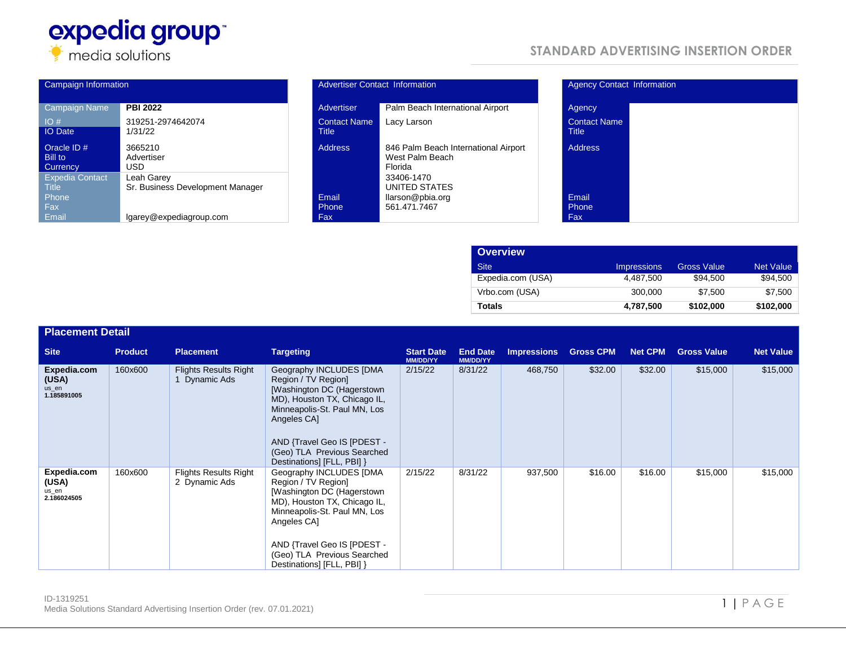

| Campaign Information                   |                                                |  | <b>Advertiser Contact Information</b> |                                                |  |
|----------------------------------------|------------------------------------------------|--|---------------------------------------|------------------------------------------------|--|
| Campaign Name                          | <b>PBI 2022</b>                                |  | Advertiser                            | Palm Beach Interr                              |  |
| IO#<br><b>IO</b> Date                  | 319251-2974642074<br>1/31/22                   |  | <b>Contact Name</b><br><b>Title</b>   | Lacy Larson                                    |  |
| Oracle $ID#$<br>Bill to<br>Currency    | 3665210<br>Advertiser<br>USD                   |  | <b>Address</b>                        | 846 Palm Beach I<br>West Palm Beach<br>Florida |  |
| <b>Expedia Contact</b><br><b>Title</b> | Leah Garey<br>Sr. Business Development Manager |  |                                       | 33406-1470<br>UNITED STATES                    |  |
| Phone<br>Fax:                          |                                                |  | Email<br>Phone                        | llarson@pbia.org<br>561.471.7467               |  |
| Email                                  | lgarey@expediagroup.com                        |  | Fax:                                  |                                                |  |

## **STANDARD ADVERTISING INSERTION ORDER**

| Campaign Information                                                                |                                                                                | <b>Advertiser Contact Information</b> |                                                                                                   | <b>Agency Contact Information</b>   |  |  |
|-------------------------------------------------------------------------------------|--------------------------------------------------------------------------------|---------------------------------------|---------------------------------------------------------------------------------------------------|-------------------------------------|--|--|
| Campaign Name                                                                       | <b>PBI 2022</b>                                                                | Advertiser                            | Palm Beach International Airport                                                                  | Agency                              |  |  |
| IO#<br><b>IO</b> Date                                                               | 319251-2974642074<br>1/31/22                                                   | <b>Contact Name</b><br>Title          | Lacy Larson                                                                                       | <b>Contact Name</b><br><b>Title</b> |  |  |
| Oracle ID #<br>Bill to<br><b>Currency</b><br><b>Expedia Contact</b><br><b>Title</b> | 3665210<br>Advertiser<br>USD<br>Leah Garey<br>Sr. Business Development Manager | <b>Address</b>                        | 846 Palm Beach International Airport<br>West Palm Beach<br>Florida<br>33406-1470<br>UNITED STATES | <b>Address</b>                      |  |  |
| Phone<br>Fax<br>Email                                                               | lgarey@expediagroup.com                                                        | Email<br>Phone<br>Fax                 | llarson@pbia.org<br>561.471.7467                                                                  | Email<br>Phone<br>Fax               |  |  |

| Agency                              |  |  |
|-------------------------------------|--|--|
| <b>Contact Name</b><br><b>Title</b> |  |  |
| <b>Address</b>                      |  |  |
| Email                               |  |  |

| <b>Overview</b>   |                    |                    |                  |
|-------------------|--------------------|--------------------|------------------|
| <b>Site</b>       | <b>Impressions</b> | <b>Gross Value</b> | <b>Net Value</b> |
| Expedia.com (USA) | 4.487.500          | \$94,500           | \$94,500         |
| Vrbo.com (USA)    | 300,000            | \$7.500            | \$7.500          |
| <b>Totals</b>     | 4,787,500          | \$102,000          | \$102,000        |

| <b>Placement Detail</b>                      |                |                                               |                                                                                                                                                                                                                                                         |                                      |                                    |                    |                  |                |                    |                  |
|----------------------------------------------|----------------|-----------------------------------------------|---------------------------------------------------------------------------------------------------------------------------------------------------------------------------------------------------------------------------------------------------------|--------------------------------------|------------------------------------|--------------------|------------------|----------------|--------------------|------------------|
| <b>Site</b>                                  | <b>Product</b> | <b>Placement</b>                              | <b>Targeting</b>                                                                                                                                                                                                                                        | <b>Start Date</b><br><b>MM/DD/YY</b> | <b>End Date</b><br><b>MM/DD/YY</b> | <b>Impressions</b> | <b>Gross CPM</b> | <b>Net CPM</b> | <b>Gross Value</b> | <b>Net Value</b> |
| Expedia.com<br>(USA)<br>us en<br>1.185891005 | 160x600        | <b>Flights Results Right</b><br>1 Dynamic Ads | Geography INCLUDES [DMA<br>Region / TV Region]<br>[Washington DC (Hagerstown<br>MD), Houston TX, Chicago IL,<br>Minneapolis-St. Paul MN, Los<br>Angeles CA]<br>AND {Travel Geo IS [PDEST -<br>(Geo) TLA Previous Searched<br>Destinations] [FLL, PBI] } | 2/15/22                              | 8/31/22                            | 468,750            | \$32.00          | \$32.00        | \$15,000           | \$15,000         |
| Expedia.com<br>(USA)<br>us en<br>2.186024505 | 160x600        | <b>Flights Results Right</b><br>2 Dynamic Ads | Geography INCLUDES [DMA<br>Region / TV Region]<br>[Washington DC (Hagerstown<br>MD), Houston TX, Chicago IL,<br>Minneapolis-St. Paul MN, Los<br>Angeles CA]<br>AND {Travel Geo IS [PDEST -<br>(Geo) TLA Previous Searched<br>Destinations] [FLL, PBI] } | 2/15/22                              | 8/31/22                            | 937,500            | \$16.00          | \$16.00        | \$15,000           | \$15,000         |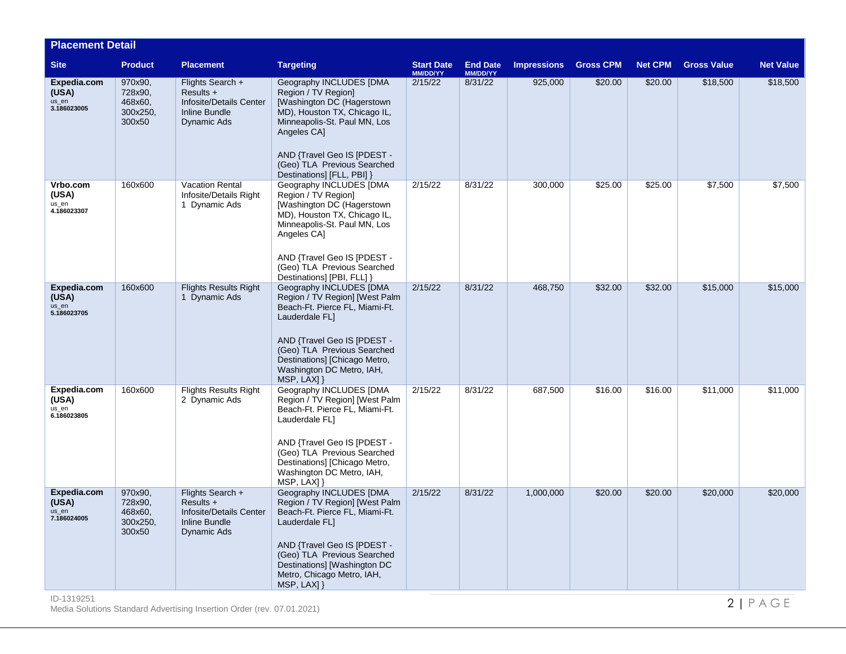| <b>Placement Detail</b>                      |                                                     |                                                                                            |                                                                                                                                                                                                                                                                |                               |                             |                    |                  |                |                    |                  |
|----------------------------------------------|-----------------------------------------------------|--------------------------------------------------------------------------------------------|----------------------------------------------------------------------------------------------------------------------------------------------------------------------------------------------------------------------------------------------------------------|-------------------------------|-----------------------------|--------------------|------------------|----------------|--------------------|------------------|
| <b>Site</b>                                  | <b>Product</b>                                      | <b>Placement</b>                                                                           | <b>Targeting</b>                                                                                                                                                                                                                                               | <b>Start Date</b><br>MM/DD/YY | <b>End Date</b><br>MM/DD/YY | <b>Impressions</b> | <b>Gross CPM</b> | <b>Net CPM</b> | <b>Gross Value</b> | <b>Net Value</b> |
| Expedia.com<br>(USA)<br>us_en<br>3.186023005 | 970x90,<br>728x90,<br>468x60,<br>300x250,<br>300x50 | Flights Search +<br>Results +<br>Infosite/Details Center<br>Inline Bundle<br>Dynamic Ads   | Geography INCLUDES [DMA<br>Region / TV Region]<br>[Washington DC (Hagerstown<br>MD), Houston TX, Chicago IL,<br>Minneapolis-St. Paul MN, Los<br>Angeles CA]<br>AND {Travel Geo IS [PDEST -<br>(Geo) TLA Previous Searched<br>Destinations] [FLL, PBI] }        | 2/15/22                       | 8/31/22                     | 925,000            | \$20.00          | \$20.00        | \$18,500           | \$18,500         |
| Vrbo.com<br>(USA)<br>us_en<br>4.186023307    | 160x600                                             | <b>Vacation Rental</b><br>Infosite/Details Right<br>1 Dynamic Ads                          | <b>Geography INCLUDES [DMA</b><br>Region / TV Region]<br>[Washington DC (Hagerstown<br>MD), Houston TX, Chicago IL,<br>Minneapolis-St. Paul MN, Los<br>Angeles CA]<br>AND {Travel Geo IS [PDEST -<br>(Geo) TLA Previous Searched<br>Destinations] [PBI, FLL] } | 2/15/22                       | 8/31/22                     | 300,000            | \$25.00          | \$25.00        | \$7,500            | \$7,500          |
| Expedia.com<br>(USA)<br>us_en<br>5.186023705 | 160x600                                             | <b>Flights Results Right</b><br>1 Dynamic Ads                                              | Geography INCLUDES [DMA<br>Region / TV Region] [West Palm<br>Beach-Ft. Pierce FL, Miami-Ft.<br>Lauderdale FL1<br>AND {Travel Geo IS [PDEST -<br>(Geo) TLA Previous Searched<br>Destinations] [Chicago Metro,<br>Washington DC Metro, IAH,<br>MSP, LAX] }       | 2/15/22                       | 8/31/22                     | 468.750            | \$32.00          | \$32.00        | \$15,000           | \$15,000         |
| Expedia.com<br>(USA)<br>us en<br>6.186023805 | 160x600                                             | <b>Flights Results Right</b><br>2 Dynamic Ads                                              | Geography INCLUDES [DMA<br>Region / TV Region] [West Palm<br>Beach-Ft. Pierce FL, Miami-Ft.<br>Lauderdale FL1<br>AND {Travel Geo IS [PDEST -<br>(Geo) TLA Previous Searched<br>Destinations] [Chicago Metro,<br>Washington DC Metro, IAH,<br>MSP, LAX] }       | 2/15/22                       | 8/31/22                     | 687,500            | \$16.00          | \$16.00        | \$11,000           | \$11,000         |
| Expedia.com<br>(USA)<br>us_en<br>7.186024005 | 970x90,<br>728x90,<br>468x60,<br>300x250,<br>300x50 | Flights Search +<br>$Results +$<br>Infosite/Details Center<br>Inline Bundle<br>Dynamic Ads | Geography INCLUDES [DMA<br>Region / TV Region] [West Palm<br>Beach-Ft. Pierce FL, Miami-Ft.<br>Lauderdale FL]<br>AND {Travel Geo IS [PDEST -<br>(Geo) TLA Previous Searched<br>Destinations] [Washington DC<br>Metro, Chicago Metro, IAH,<br>$MSP, LAX$ ] }    | 2/15/22                       | 8/31/22                     | 1,000,000          | \$20.00          | \$20.00        | \$20,000           | \$20,000         |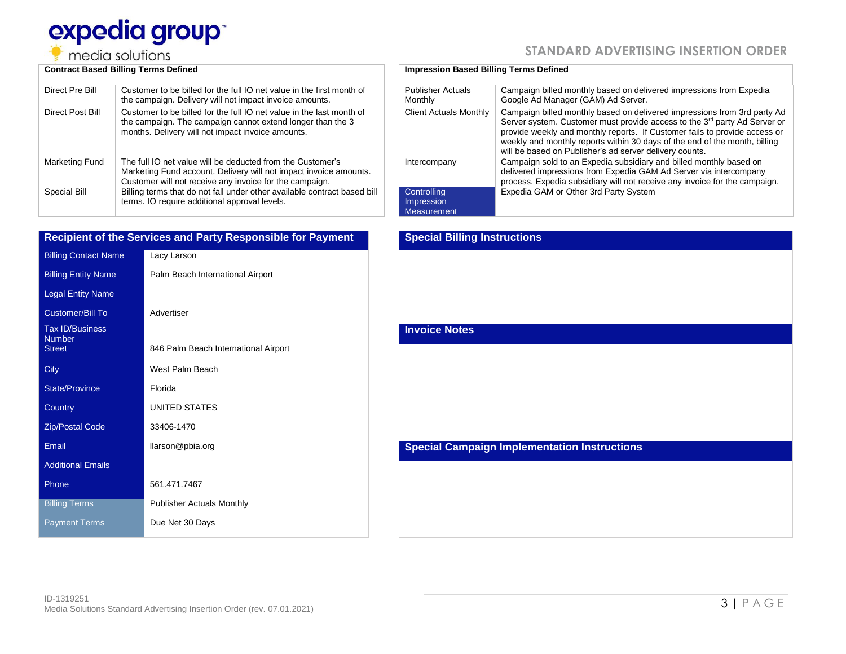# expedia group media solutions

|  | STANDARD ADVERTISING INSERTION ORDER |  |  |
|--|--------------------------------------|--|--|
|--|--------------------------------------|--|--|

| Direct Pre Bill  | Customer to be billed for the full IO net value in the first month of<br>the campaign. Delivery will not impact invoice amounts.                                                           |
|------------------|--------------------------------------------------------------------------------------------------------------------------------------------------------------------------------------------|
| Direct Post Bill | Customer to be billed for the full IO net value in the last month of<br>the campaign. The campaign cannot extend longer than the 3<br>months. Delivery will not impact invoice amounts.    |
| Marketing Fund   | The full IO net value will be deducted from the Customer's<br>Marketing Fund account. Delivery will not impact invoice amounts.<br>Customer will not receive any invoice for the campaign. |
| Special Bill     | Billing terms that do not fall under other available contract based bill<br>terms. IO require additional approval levels.                                                                  |

|                                         | <b>Recipient of the Services and Party Responsible for Payment</b> |
|-----------------------------------------|--------------------------------------------------------------------|
| <b>Billing Contact Name</b>             | Lacy Larson                                                        |
| <b>Billing Entity Name</b>              | Palm Beach International Airport                                   |
| <b>Legal Entity Name</b>                |                                                                    |
| <b>Customer/Bill To</b>                 | Advertiser                                                         |
| <b>Tax ID/Business</b><br><b>Number</b> |                                                                    |
| <b>Street</b>                           | 846 Palm Beach International Airport                               |
| City                                    | West Palm Beach                                                    |
| <b>State/Province</b>                   | Florida                                                            |
| Country                                 | <b>UNITED STATES</b>                                               |
| <b>Zip/Postal Code</b>                  | 33406-1470                                                         |
| Email                                   | llarson@pbia.org                                                   |
| <b>Additional Emails</b>                |                                                                    |
| Phone                                   | 561.471.7467                                                       |
| <b>Billing Terms</b>                    | <b>Publisher Actuals Monthly</b>                                   |
| <b>Payment Terms</b>                    | Due Net 30 Days                                                    |

### **Contract Based Billing Terms Defined Impression Based Billing Terms Defined**

| <b>Publisher Actuals</b><br>Monthly                    | Campaign billed monthly based on delivered impressions from Expedia<br>Google Ad Manager (GAM) Ad Server.                                                                                                                                                                                                                                                                                |
|--------------------------------------------------------|------------------------------------------------------------------------------------------------------------------------------------------------------------------------------------------------------------------------------------------------------------------------------------------------------------------------------------------------------------------------------------------|
| <b>Client Actuals Monthly</b>                          | Campaign billed monthly based on delivered impressions from 3rd party Ad<br>Server system. Customer must provide access to the 3 <sup>rd</sup> party Ad Server or<br>provide weekly and monthly reports. If Customer fails to provide access or<br>weekly and monthly reports within 30 days of the end of the month, billing<br>will be based on Publisher's ad server delivery counts. |
| Intercompany                                           | Campaign sold to an Expedia subsidiary and billed monthly based on<br>delivered impressions from Expedia GAM Ad Server via intercompany<br>process. Expedia subsidiary will not receive any invoice for the campaign.                                                                                                                                                                    |
| Controlling<br><b>Impression</b><br><b>Measurement</b> | Expedia GAM or Other 3rd Party System                                                                                                                                                                                                                                                                                                                                                    |

# **Special Billing Instructions Invoice Notes Special Campaign Implementation Instructions**